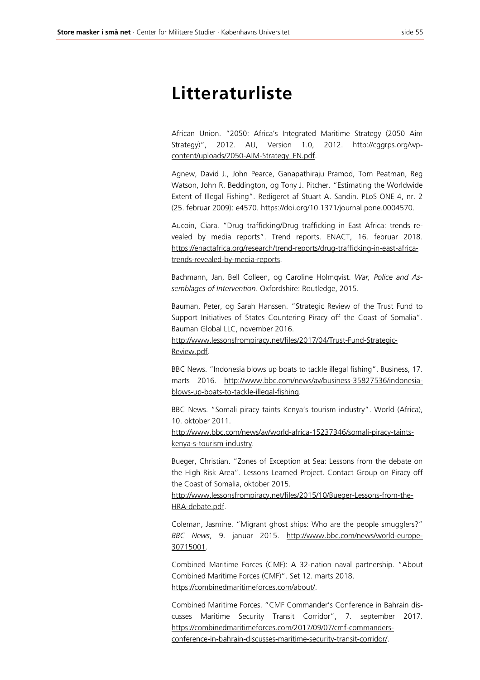## **Litteraturliste**

African Union. "2050: Africa's Integrated Maritime Strategy (2050 Aim Strategy)", 2012. AU, Version 1.0, 2012. http://cggrps.org/wpcontent/uploads/2050-AIM-Strategy\_EN.pdf.

Agnew, David J., John Pearce, Ganapathiraju Pramod, Tom Peatman, Reg Watson, John R. Beddington, og Tony J. Pitcher. "Estimating the Worldwide Extent of Illegal Fishing". Redigeret af Stuart A. Sandin. PLoS ONE 4, nr. 2 (25. februar 2009): e4570. https://doi.org/10.1371/journal.pone.0004570.

Aucoin, Ciara. "Drug trafficking/Drug trafficking in East Africa: trends revealed by media reports". Trend reports. ENACT, 16. februar 2018. https://enactafrica.org/research/trend-reports/drug-trafficking-in-east-africatrends-revealed-by-media-reports.

Bachmann, Jan, Bell Colleen, og Caroline Holmqvist. *War, Police and Assemblages of Intervention*. Oxfordshire: Routledge, 2015.

Bauman, Peter, og Sarah Hanssen. "Strategic Review of the Trust Fund to Support Initiatives of States Countering Piracy off the Coast of Somalia". Bauman Global LLC, november 2016.

http://www.lessonsfrompiracy.net/files/2017/04/Trust-Fund-Strategic-Review.pdf.

BBC News. "Indonesia blows up boats to tackle illegal fishing". Business, 17. marts 2016. http://www.bbc.com/news/av/business-35827536/indonesiablows-up-boats-to-tackle-illegal-fishing.

BBC News. "Somali piracy taints Kenya's tourism industry". World (Africa), 10. oktober 2011.

http://www.bbc.com/news/av/world-africa-15237346/somali-piracy-taintskenya-s-tourism-industry.

Bueger, Christian. "Zones of Exception at Sea: Lessons from the debate on the High Risk Area". Lessons Learned Project. Contact Group on Piracy off the Coast of Somalia, oktober 2015.

http://www.lessonsfrompiracy.net/files/2015/10/Bueger-Lessons-from-the-HRA-debate.pdf.

Coleman, Jasmine. "Migrant ghost ships: Who are the people smugglers?" *BBC News*, 9. januar 2015. http://www.bbc.com/news/world-europe-30715001.

Combined Maritime Forces (CMF): A 32-nation naval partnership. "About Combined Maritime Forces (CMF)". Set 12. marts 2018. https://combinedmaritimeforces.com/about/.

Combined Maritime Forces. "CMF Commander's Conference in Bahrain discusses Maritime Security Transit Corridor", 7. september 2017. https://combinedmaritimeforces.com/2017/09/07/cmf-commandersconference-in-bahrain-discusses-maritime-security-transit-corridor/.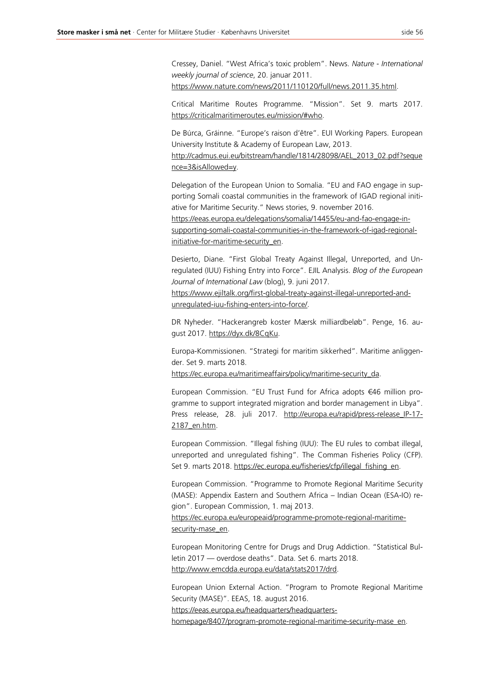Cressey, Daniel. "West Africa's toxic problem". News. *Nature - International weekly journal of science*, 20. januar 2011.

https://www.nature.com/news/2011/110120/full/news.2011.35.html.

Critical Maritime Routes Programme. "Mission". Set 9. marts 2017. https://criticalmaritimeroutes.eu/mission/#who.

De Búrca, Gráinne. "Europe's raison d'être". EUI Working Papers. European University Institute & Academy of European Law, 2013.

http://cadmus.eui.eu/bitstream/handle/1814/28098/AEL\_2013\_02.pdf?seque nce=3&isAllowed=y.

Delegation of the European Union to Somalia. "EU and FAO engage in supporting Somali coastal communities in the framework of IGAD regional initiative for Maritime Security." News stories, 9. november 2016.

https://eeas.europa.eu/delegations/somalia/14455/eu-and-fao-engage-insupporting-somali-coastal-communities-in-the-framework-of-igad-regionalinitiative-for-maritime-security\_en.

Desierto, Diane. "First Global Treaty Against Illegal, Unreported, and Unregulated (IUU) Fishing Entry into Force". EJIL Analysis. *Blog of the European Journal of International Law* (blog), 9. juni 2017.

https://www.ejiltalk.org/first-global-treaty-against-illegal-unreported-andunregulated-iuu-fishing-enters-into-force/.

DR Nyheder. "Hackerangreb koster Mærsk milliardbeløb". Penge, 16. august 2017. https://dyx.dk/8CqKu.

Europa-Kommissionen. "Strategi for maritim sikkerhed". Maritime anliggender. Set 9. marts 2018.

https://ec.europa.eu/maritimeaffairs/policy/maritime-security\_da.

European Commission. "EU Trust Fund for Africa adopts €46 million programme to support integrated migration and border management in Libya". Press release, 28. juli 2017. http://europa.eu/rapid/press-release\_IP-17- 2187\_en.htm.

European Commission. "Illegal fishing (IUU): The EU rules to combat illegal, unreported and unregulated fishing". The Comman Fisheries Policy (CFP). Set 9. marts 2018. https://ec.europa.eu/fisheries/cfp/illegal\_fishing\_en.

European Commission. "Programme to Promote Regional Maritime Security (MASE): Appendix Eastern and Southern Africa – Indian Ocean (ESA-IO) region". European Commission, 1. maj 2013.

https://ec.europa.eu/europeaid/programme-promote-regional-maritimesecurity-mase\_en.

European Monitoring Centre for Drugs and Drug Addiction. "Statistical Bulletin 2017 — overdose deaths". Data. Set 6. marts 2018. http://www.emcdda.europa.eu/data/stats2017/drd.

European Union External Action. "Program to Promote Regional Maritime Security (MASE)". EEAS, 18. august 2016. https://eeas.europa.eu/headquarters/headquartershomepage/8407/program-promote-regional-maritime-security-mase\_en.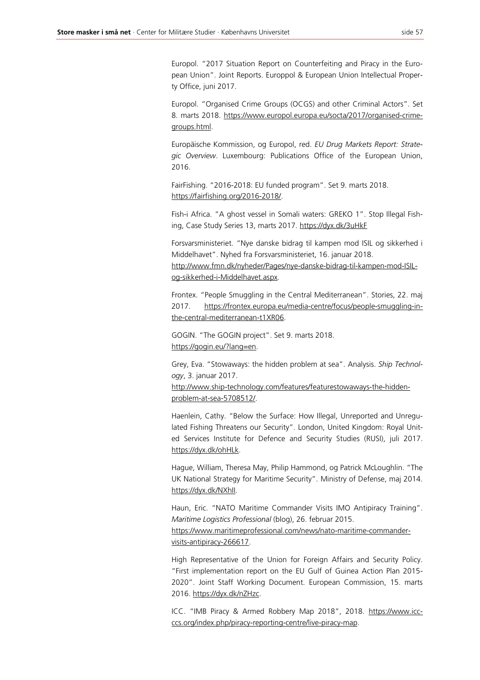Europol. "2017 Situation Report on Counterfeiting and Piracy in the European Union". Joint Reports. Europpol & European Union Intellectual Property Office, juni 2017.

Europol. "Organised Crime Groups (OCGS) and other Criminal Actors". Set 8. marts 2018. https://www.europol.europa.eu/socta/2017/organised-crimegroups.html.

Europäische Kommission, og Europol, red. *EU Drug Markets Report: Strategic Overview*. Luxembourg: Publications Office of the European Union, 2016.

FairFishing. "2016-2018: EU funded program". Set 9. marts 2018. https://fairfishing.org/2016-2018/.

Fish-i Africa. "A ghost vessel in Somali waters: GREKO 1". Stop Illegal Fishing, Case Study Series 13, marts 2017. https://dyx.dk/3uHkF

Forsvarsministeriet. "Nye danske bidrag til kampen mod ISIL og sikkerhed i Middelhavet". Nyhed fra Forsvarsministeriet, 16. januar 2018.

http://www.fmn.dk/nyheder/Pages/nye-danske-bidrag-til-kampen-mod-ISILog-sikkerhed-i-Middelhavet.aspx.

Frontex. "People Smuggling in the Central Mediterranean". Stories, 22. maj 2017. https://frontex.europa.eu/media-centre/focus/people-smuggling-inthe-central-mediterranean-t1XR06.

GOGIN. "The GOGIN project". Set 9. marts 2018. https://gogin.eu/?lang=en.

Grey, Eva. "Stowaways: the hidden problem at sea". Analysis. *Ship Technology*, 3. januar 2017.

http://www.ship-technology.com/features/featurestowaways-the-hiddenproblem-at-sea-5708512/.

Haenlein, Cathy. "Below the Surface: How Illegal, Unreported and Unregulated Fishing Threatens our Security". London, United Kingdom: Royal United Services Institute for Defence and Security Studies (RUSI), juli 2017. https://dyx.dk/ohHLk.

Hague, William, Theresa May, Philip Hammond, og Patrick McLoughlin. "The UK National Strategy for Maritime Security". Ministry of Defense, maj 2014. https://dyx.dk/NXhll.

Haun, Eric. "NATO Maritime Commander Visits IMO Antipiracy Training". *Maritime Logistics Professional* (blog), 26. februar 2015.

https://www.maritimeprofessional.com/news/nato-maritime-commandervisits-antipiracy-266617.

High Representative of the Union for Foreign Affairs and Security Policy. "First implementation report on the EU Gulf of Guinea Action Plan 2015- 2020". Joint Staff Working Document. European Commission, 15. marts 2016. https://dyx.dk/nZHzc.

ICC. "IMB Piracy & Armed Robbery Map 2018", 2018. https://www.iccccs.org/index.php/piracy-reporting-centre/live-piracy-map.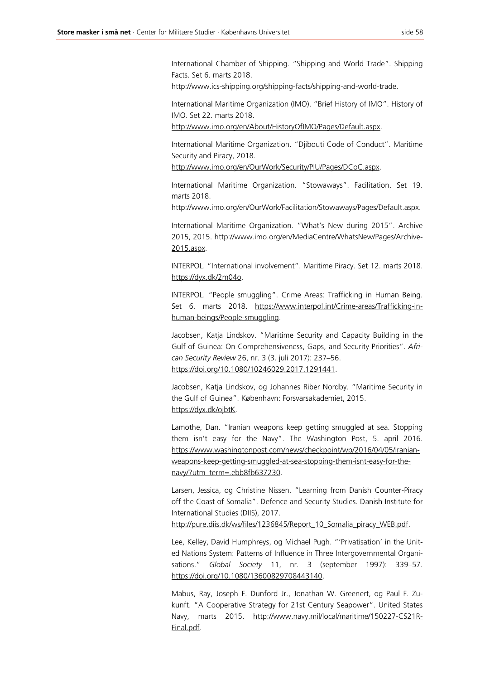International Chamber of Shipping. "Shipping and World Trade". Shipping Facts. Set 6. marts 2018.

http://www.ics-shipping.org/shipping-facts/shipping-and-world-trade.

International Maritime Organization (IMO). "Brief History of IMO". History of IMO. Set 22. marts 2018.

http://www.imo.org/en/About/HistoryOfIMO/Pages/Default.aspx.

International Maritime Organization. "Djibouti Code of Conduct". Maritime Security and Piracy, 2018.

http://www.imo.org/en/OurWork/Security/PIU/Pages/DCoC.aspx.

International Maritime Organization. "Stowaways". Facilitation. Set 19. marts 2018.

http://www.imo.org/en/OurWork/Facilitation/Stowaways/Pages/Default.aspx.

International Maritime Organization. "What's New during 2015". Archive 2015, 2015. http://www.imo.org/en/MediaCentre/WhatsNew/Pages/Archive-2015.aspx.

INTERPOL. "International involvement". Maritime Piracy. Set 12. marts 2018. https://dyx.dk/2m04o.

INTERPOL. "People smuggling". Crime Areas: Trafficking in Human Being. Set 6. marts 2018. https://www.interpol.int/Crime-areas/Trafficking-inhuman-beings/People-smuggling.

Jacobsen, Katja Lindskov. "Maritime Security and Capacity Building in the Gulf of Guinea: On Comprehensiveness, Gaps, and Security Priorities". *African Security Review* 26, nr. 3 (3. juli 2017): 237–56. https://doi.org/10.1080/10246029.2017.1291441.

Jacobsen, Katja Lindskov, og Johannes Riber Nordby. "Maritime Security in the Gulf of Guinea". København: Forsvarsakademiet, 2015. https://dyx.dk/ojbtK.

Lamothe, Dan. "Iranian weapons keep getting smuggled at sea. Stopping them isn't easy for the Navy". The Washington Post, 5. april 2016. https://www.washingtonpost.com/news/checkpoint/wp/2016/04/05/iranianweapons-keep-getting-smuggled-at-sea-stopping-them-isnt-easy-for-thenavy/?utm\_term=.ebb8fb637230.

Larsen, Jessica, og Christine Nissen. "Learning from Danish Counter-Piracy off the Coast of Somalia". Defence and Security Studies. Danish Institute for International Studies (DIIS), 2017.

http://pure.diis.dk/ws/files/1236845/Report\_10\_Somalia\_piracy\_WEB.pdf.

Lee, Kelley, David Humphreys, og Michael Pugh. "'Privatisation' in the United Nations System: Patterns of Influence in Three Intergovernmental Organisations." *Global Society* 11, nr. 3 (september 1997): 339–57. https://doi.org/10.1080/13600829708443140.

Mabus, Ray, Joseph F. Dunford Jr., Jonathan W. Greenert, og Paul F. Zukunft. "A Cooperative Strategy for 21st Century Seapower". United States Navy, marts 2015. http://www.navy.mil/local/maritime/150227-CS21R-Final.pdf.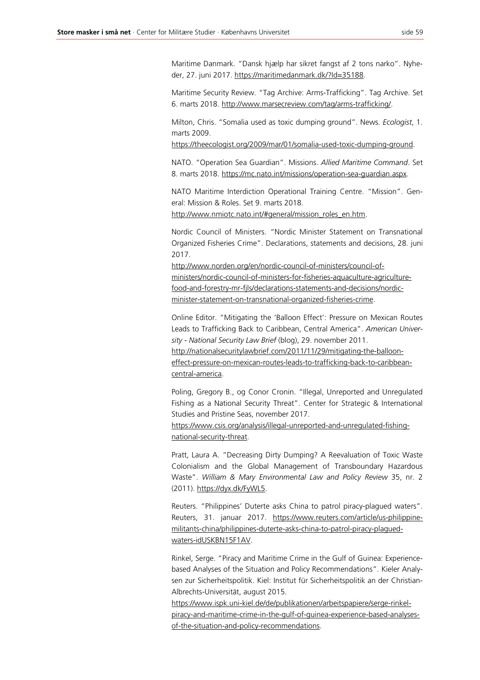Maritime Danmark. "Dansk hjælp har sikret fangst af 2 tons narko". Nyheder, 27. juni 2017. https://maritimedanmark.dk/?Id=35188.

Maritime Security Review. "Tag Archive: Arms-Trafficking". Tag Archive. Set 6. marts 2018. http://www.marsecreview.com/tag/arms-trafficking/.

Milton, Chris. "Somalia used as toxic dumping ground". News. *Ecologist*, 1. marts 2009.

https://theecologist.org/2009/mar/01/somalia-used-toxic-dumping-ground.

NATO. "Operation Sea Guardian". Missions. *Allied Maritime Command*. Set 8. marts 2018. https://mc.nato.int/missions/operation-sea-guardian.aspx.

NATO Maritime Interdiction Operational Training Centre. "Mission". General: Mission & Roles. Set 9. marts 2018.

http://www.nmiotc.nato.int/#general/mission\_roles\_en.htm.

Nordic Council of Ministers. "Nordic Minister Statement on Transnational Organized Fisheries Crime". Declarations, statements and decisions, 28. juni 2017.

http://www.norden.org/en/nordic-council-of-ministers/council-ofministers/nordic-council-of-ministers-for-fisheries-aquaculture-agriculturefood-and-forestry-mr-fjls/declarations-statements-and-decisions/nordicminister-statement-on-transnational-organized-fisheries-crime.

Online Editor. "Mitigating the 'Balloon Effect': Pressure on Mexican Routes Leads to Trafficking Back to Caribbean, Central America". *American University - National Security Law Brief* (blog), 29. november 2011.

http://nationalsecuritylawbrief.com/2011/11/29/mitigating-the-ballooneffect-pressure-on-mexican-routes-leads-to-trafficking-back-to-caribbeancentral-america.

Poling, Gregory B., og Conor Cronin. "Illegal, Unreported and Unregulated Fishing as a National Security Threat". Center for Strategic & International Studies and Pristine Seas, november 2017.

https://www.csis.org/analysis/illegal-unreported-and-unregulated-fishingnational-security-threat.

Pratt, Laura A. "Decreasing Dirty Dumping? A Reevaluation of Toxic Waste Colonialism and the Global Management of Transboundary Hazardous Waste". *William & Mary Environmental Law and Policy Review* 35, nr. 2 (2011). https://dyx.dk/FyWL5.

Reuters. "Philippines' Duterte asks China to patrol piracy-plagued waters". Reuters, 31. januar 2017. https://www.reuters.com/article/us-philippinemilitants-china/philippines-duterte-asks-china-to-patrol-piracy-plaguedwaters-idUSKBN15F1AV.

Rinkel, Serge. "Piracy and Maritime Crime in the Gulf of Guinea: Experiencebased Analyses of the Situation and Policy Recommendations". Kieler Analysen zur Sicherheitspolitik. Kiel: Institut für Sicherheitspolitik an der Christian-Albrechts-Universität, august 2015.

https://www.ispk.uni-kiel.de/de/publikationen/arbeitspapiere/serge-rinkelpiracy-and-maritime-crime-in-the-gulf-of-guinea-experience-based-analysesof-the-situation-and-policy-recommendations.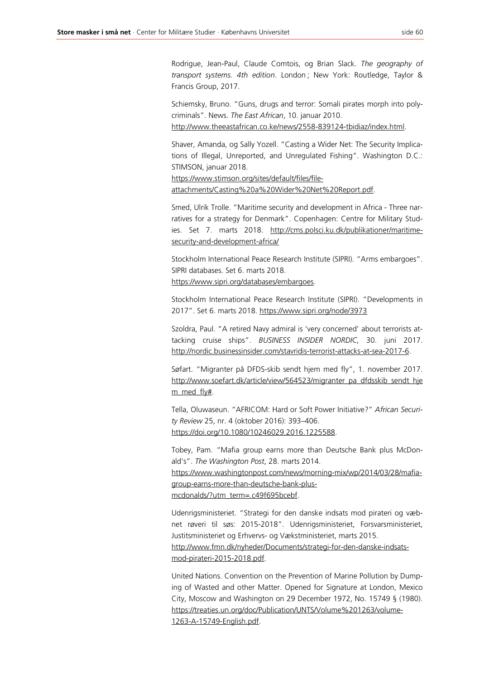Rodrigue, Jean-Paul, Claude Comtois, og Brian Slack. *The geography of transport systems. 4th edition*. London ; New York: Routledge, Taylor & Francis Group, 2017.

Schiemsky, Bruno. "Guns, drugs and terror: Somali pirates morph into polycriminals". News. *The East African*, 10. januar 2010. http://www.theeastafrican.co.ke/news/2558-839124-tbidiaz/index.html.

Shaver, Amanda, og Sally Yozell. "Casting a Wider Net: The Security Implications of Illegal, Unreported, and Unregulated Fishing". Washington D.C.: STIMSON, januar 2018.

https://www.stimson.org/sites/default/files/fileattachments/Casting%20a%20Wider%20Net%20Report.pdf.

Smed, Ulrik Trolle. "Maritime security and development in Africa - Three narratives for a strategy for Denmark". Copenhagen: Centre for Military Studies. Set 7. marts 2018. http://cms.polsci.ku.dk/publikationer/maritimesecurity-and-development-africa/

Stockholm International Peace Research Institute (SIPRI). "Arms embargoes". SIPRI databases. Set 6. marts 2018. https://www.sipri.org/databases/embargoes.

Stockholm International Peace Research Institute (SIPRI). "Developments in 2017". Set 6. marts 2018. https://www.sipri.org/node/3973

Szoldra, Paul. "A retired Navy admiral is 'very concerned' about terrorists attacking cruise ships". *BUSINESS INSIDER NORDIC*, 30. juni 2017. http://nordic.businessinsider.com/stavridis-terrorist-attacks-at-sea-2017-6.

Søfart. "Migranter på DFDS-skib sendt hjem med fly", 1. november 2017. http://www.soefart.dk/article/view/564523/migranter\_pa\_dfdsskib\_sendt\_hje m\_med\_fly#.

Tella, Oluwaseun. "AFRICOM: Hard or Soft Power Initiative?" *African Security Review* 25, nr. 4 (oktober 2016): 393–406. https://doi.org/10.1080/10246029.2016.1225588.

Tobey, Pam. "Mafia group earns more than Deutsche Bank plus McDonald's". *The Washington Post*, 28. marts 2014.

https://www.washingtonpost.com/news/morning-mix/wp/2014/03/28/mafiagroup-earns-more-than-deutsche-bank-plusmcdonalds/?utm\_term=.c49f695bcebf.

Udenrigsministeriet. "Strategi for den danske indsats mod pirateri og væbnet røveri til søs: 2015-2018". Udenrigsministeriet, Forsvarsministeriet, Justitsministeriet og Erhvervs- og Vækstministeriet, marts 2015. http://www.fmn.dk/nyheder/Documents/strategi-for-den-danske-indsatsmod-pirateri-2015-2018.pdf.

United Nations. Convention on the Prevention of Marine Pollution by Dumping of Wasted and other Matter. Opened for Signature at London, Mexico City, Moscow and Washington on 29 December 1972, No. 15749 § (1980). https://treaties.un.org/doc/Publication/UNTS/Volume%201263/volume-1263-A-15749-English.pdf.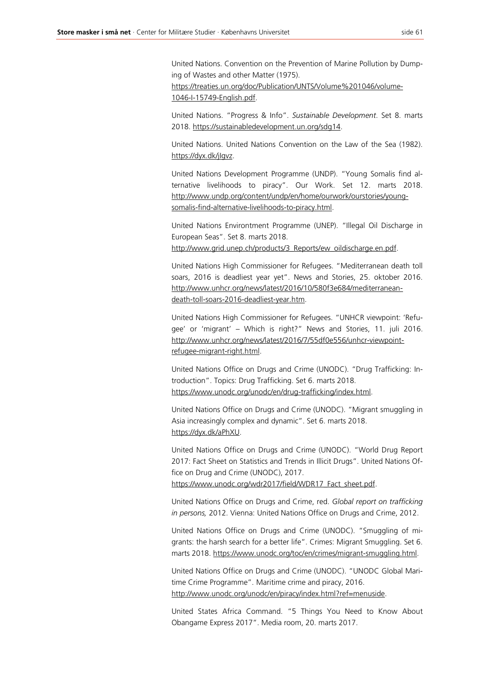United Nations. Convention on the Prevention of Marine Pollution by Dumping of Wastes and other Matter (1975).

https://treaties.un.org/doc/Publication/UNTS/Volume%201046/volume-1046-I-15749-English.pdf.

United Nations. "Progress & Info". *Sustainable Development*. Set 8. marts 2018. https://sustainabledevelopment.un.org/sdg14.

United Nations. United Nations Convention on the Law of the Sea (1982). https://dyx.dk/jIgvz.

United Nations Development Programme (UNDP). "Young Somalis find alternative livelihoods to piracy". Our Work. Set 12. marts 2018. http://www.undp.org/content/undp/en/home/ourwork/ourstories/youngsomalis-find-alternative-livelihoods-to-piracy.html.

United Nations Environtment Programme (UNEP). "Illegal Oil Discharge in European Seas". Set 8. marts 2018.

http://www.grid.unep.ch/products/3\_Reports/ew\_oildischarge.en.pdf.

United Nations High Commissioner for Refugees. "Mediterranean death toll soars, 2016 is deadliest year yet". News and Stories, 25. oktober 2016. http://www.unhcr.org/news/latest/2016/10/580f3e684/mediterraneandeath-toll-soars-2016-deadliest-year.htm.

United Nations High Commissioner for Refugees. "UNHCR viewpoint: 'Refugee' or 'migrant' – Which is right?" News and Stories, 11. juli 2016. http://www.unhcr.org/news/latest/2016/7/55df0e556/unhcr-viewpointrefugee-migrant-right.html.

United Nations Office on Drugs and Crime (UNODC). "Drug Trafficking: Introduction". Topics: Drug Trafficking. Set 6. marts 2018. https://www.unodc.org/unodc/en/drug-trafficking/index.html.

United Nations Office on Drugs and Crime (UNODC). "Migrant smuggling in Asia increasingly complex and dynamic". Set 6. marts 2018. https://dyx.dk/aPhXU.

United Nations Office on Drugs and Crime (UNODC). "World Drug Report 2017: Fact Sheet on Statistics and Trends in Illicit Drugs". United Nations Office on Drug and Crime (UNODC), 2017. https://www.unodc.org/wdr2017/field/WDR17\_Fact\_sheet.pdf.

United Nations Office on Drugs and Crime, red. *Global report on trafficking in persons,* 2012. Vienna: United Nations Office on Drugs and Crime, 2012.

United Nations Office on Drugs and Crime (UNODC). "Smuggling of migrants: the harsh search for a better life". Crimes: Migrant Smuggling. Set 6. marts 2018. https://www.unodc.org/toc/en/crimes/migrant-smuggling.html.

United Nations Office on Drugs and Crime (UNODC). "UNODC Global Maritime Crime Programme". Maritime crime and piracy, 2016. http://www.unodc.org/unodc/en/piracy/index.html?ref=menuside.

United States Africa Command. "5 Things You Need to Know About Obangame Express 2017". Media room, 20. marts 2017.